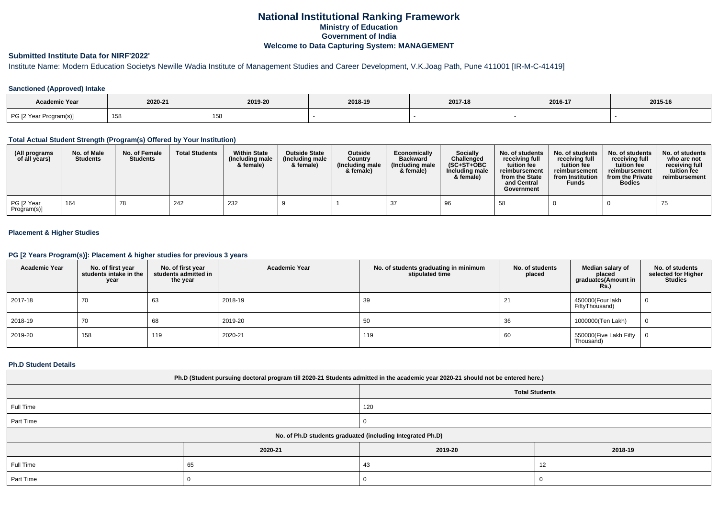## **National Institutional Ranking FrameworkMinistry of Education Government of IndiaWelcome to Data Capturing System: MANAGEMENT**

# **Submitted Institute Data for NIRF'2022'**

# Institute Name: Modern Education Societys Newille Wadia Institute of Management Studies and Career Development, V.K.Joag Path, Pune 411001 [IR-M-C-41419]

### **Sanctioned (Approved) Intake**

| Academic Year          |         |           |         |         |         |         |
|------------------------|---------|-----------|---------|---------|---------|---------|
|                        | 2020-21 | 2019-20   | 2018-19 | 2017-18 | 2016-17 | 2015-16 |
| PG [2 Year Program(s)] |         | 4E<br>196 |         |         |         |         |

#### **Total Actual Student Strength (Program(s) Offered by Your Institution)**

| (All programs<br>of all years) | No. of Male<br><b>Students</b> | No. of Female<br><b>Students</b> | <b>Total Students</b> | <b>Within State</b><br>(Including male<br>& female) | <b>Outside State</b><br>(Including male<br>& female) | Outside<br>Country<br>(Including male<br>& female) | Economically<br><b>Backward</b><br>(Including male<br>& female) | <b>Socially</b><br>Challenged<br>$(SC+ST+OBC$<br>Including male<br>& female) | No. of students<br>receivina full<br>tuition fee<br>reimbursement<br>from the State<br>and Central<br>Government | No. of students<br>receiving full<br>tuition fee<br>reimbursement<br>from Institution<br><b>Funds</b> | No. of students<br>receiving full<br>tuition fee<br>reimbursement<br>from the Private<br><b>Bodies</b> | No. of students  <br>who are not<br>receivina full<br>tuition fee<br>reimbursement |
|--------------------------------|--------------------------------|----------------------------------|-----------------------|-----------------------------------------------------|------------------------------------------------------|----------------------------------------------------|-----------------------------------------------------------------|------------------------------------------------------------------------------|------------------------------------------------------------------------------------------------------------------|-------------------------------------------------------------------------------------------------------|--------------------------------------------------------------------------------------------------------|------------------------------------------------------------------------------------|
| PG [2 Year<br>Program(s)]      | 164                            | 78                               | 242                   | 232                                                 |                                                      |                                                    |                                                                 | 96                                                                           | 58                                                                                                               |                                                                                                       |                                                                                                        | 75                                                                                 |

### **Placement & Higher Studies**

#### **PG [2 Years Program(s)]: Placement & higher studies for previous 3 years**

| <b>Academic Year</b> | No. of first year<br>students intake in the<br>year | No. of first year<br>students admitted in<br>the year | <b>Academic Year</b> | No. of students graduating in minimum<br>stipulated time | No. of students<br>placed | Median salary of<br>placed<br>graduates(Amount in<br><b>Rs.)</b> | No. of students<br>selected for Higher<br><b>Studies</b> |
|----------------------|-----------------------------------------------------|-------------------------------------------------------|----------------------|----------------------------------------------------------|---------------------------|------------------------------------------------------------------|----------------------------------------------------------|
| 2017-18              | 70                                                  | 63                                                    | 2018-19              | 39                                                       | 21                        | 450000(Four lakh<br>FiftyThousand)                               | 0                                                        |
| 2018-19              | 70                                                  | 68                                                    | 2019-20              | 50                                                       | 36                        | 1000000(Ten Lakh)                                                | 0                                                        |
| 2019-20              | 158                                                 | 119                                                   | 2020-21              | 119                                                      | 60                        | 550000(Five Lakh Fifty<br>Thousand)                              |                                                          |

#### **Ph.D Student Details**

| Ph.D (Student pursuing doctoral program till 2020-21 Students admitted in the academic year 2020-21 should not be entered here.) |                                                            |                       |         |  |  |  |
|----------------------------------------------------------------------------------------------------------------------------------|------------------------------------------------------------|-----------------------|---------|--|--|--|
|                                                                                                                                  |                                                            | <b>Total Students</b> |         |  |  |  |
| Full Time                                                                                                                        |                                                            | 120                   |         |  |  |  |
| Part Time                                                                                                                        |                                                            | v                     |         |  |  |  |
|                                                                                                                                  | No. of Ph.D students graduated (including Integrated Ph.D) |                       |         |  |  |  |
|                                                                                                                                  | 2020-21<br>2019-20                                         |                       | 2018-19 |  |  |  |
| Full Time                                                                                                                        | 65                                                         | 43                    | 10      |  |  |  |
| Part Time                                                                                                                        |                                                            | J.                    |         |  |  |  |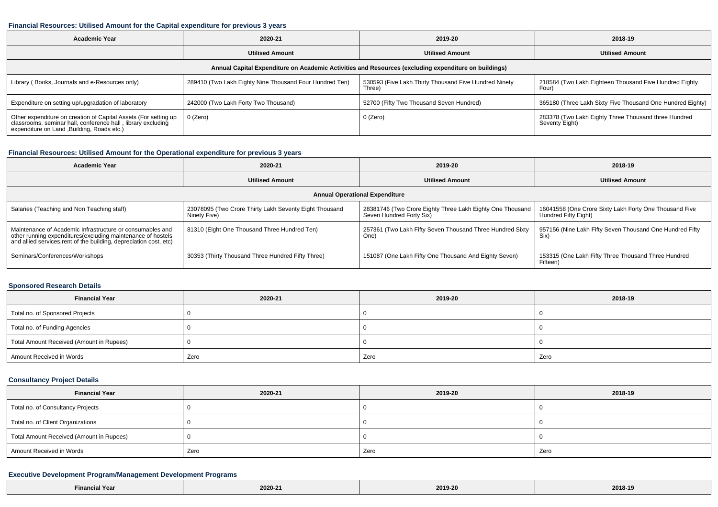#### **Financial Resources: Utilised Amount for the Capital expenditure for previous 3 years**

| <b>Academic Year</b>                                                                                                                                                           | 2020-21                                                 | 2019-20                                                         | 2018-19                                                                |  |  |  |  |  |
|--------------------------------------------------------------------------------------------------------------------------------------------------------------------------------|---------------------------------------------------------|-----------------------------------------------------------------|------------------------------------------------------------------------|--|--|--|--|--|
|                                                                                                                                                                                | <b>Utilised Amount</b>                                  | <b>Utilised Amount</b>                                          | <b>Utilised Amount</b>                                                 |  |  |  |  |  |
| Annual Capital Expenditure on Academic Activities and Resources (excluding expenditure on buildings)                                                                           |                                                         |                                                                 |                                                                        |  |  |  |  |  |
| Library (Books, Journals and e-Resources only)                                                                                                                                 | 289410 (Two Lakh Eighty Nine Thousand Four Hundred Ten) | 530593 (Five Lakh Thirty Thousand Five Hundred Ninety<br>Three) | 218584 (Two Lakh Eighteen Thousand Five Hundred Eighty<br>Four)        |  |  |  |  |  |
| Expenditure on setting up/upgradation of laboratory                                                                                                                            | 242000 (Two Lakh Forty Two Thousand)                    | 52700 (Fifty Two Thousand Seven Hundred)                        | 365180 (Three Lakh Sixty Five Thousand One Hundred Eighty)             |  |  |  |  |  |
| Other expenditure on creation of Capital Assets (For setting up<br>classrooms, seminar hall, conference hall, library excluding<br>expenditure on Land , Building, Roads etc.) | 0 (Zero)                                                | 0 (Zero)                                                        | 283378 (Two Lakh Eighty Three Thousand three Hundred<br>Seventy Eight) |  |  |  |  |  |

## **Financial Resources: Utilised Amount for the Operational expenditure for previous 3 years**

| <b>Academic Year</b>                                                                                                                                                                           | 2020-21                                                                | 2019-20                                                                               | 2018-19                                                                        |  |  |  |  |  |
|------------------------------------------------------------------------------------------------------------------------------------------------------------------------------------------------|------------------------------------------------------------------------|---------------------------------------------------------------------------------------|--------------------------------------------------------------------------------|--|--|--|--|--|
|                                                                                                                                                                                                | <b>Utilised Amount</b>                                                 | <b>Utilised Amount</b>                                                                | <b>Utilised Amount</b>                                                         |  |  |  |  |  |
| <b>Annual Operational Expenditure</b>                                                                                                                                                          |                                                                        |                                                                                       |                                                                                |  |  |  |  |  |
| Salaries (Teaching and Non Teaching staff)                                                                                                                                                     | 23078095 (Two Crore Thirty Lakh Seventy Eight Thousand<br>Ninety Five) | 28381746 (Two Crore Eighty Three Lakh Eighty One Thousand<br>Seven Hundred Forty Six) | 16041558 (One Crore Sixty Lakh Forty One Thousand Five<br>Hundred Fifty Eight) |  |  |  |  |  |
| Maintenance of Academic Infrastructure or consumables and<br>other running expenditures(excluding maintenance of hostels<br>and allied services, rent of the building, depreciation cost, etc) | 81310 (Eight One Thousand Three Hundred Ten)                           | 257361 (Two Lakh Fifty Seven Thousand Three Hundred Sixty<br>One)                     | 957156 (Nine Lakh Fifty Seven Thousand One Hundred Fifty<br>Six)               |  |  |  |  |  |
| Seminars/Conferences/Workshops                                                                                                                                                                 | 30353 (Thirty Thousand Three Hundred Fifty Three)                      | 151087 (One Lakh Fifty One Thousand And Eighty Seven)                                 | 153315 (One Lakh Fifty Three Thousand Three Hundred<br>Fifteen)                |  |  |  |  |  |

### **Sponsored Research Details**

| <b>Financial Year</b>                    | 2020-21 | 2019-20 | 2018-19 |
|------------------------------------------|---------|---------|---------|
| Total no. of Sponsored Projects          |         |         |         |
| Total no. of Funding Agencies            |         |         |         |
| Total Amount Received (Amount in Rupees) |         |         |         |
| Amount Received in Words                 | Zero    | Zero    | Zero    |

### **Consultancy Project Details**

| <b>Financial Year</b>                    | 2020-21 | 2019-20 | 2018-19 |
|------------------------------------------|---------|---------|---------|
| Total no. of Consultancy Projects        |         |         |         |
| Total no. of Client Organizations        |         |         |         |
| Total Amount Received (Amount in Rupees) |         |         |         |
| Amount Received in Words                 | Zero    | Zero    | Zero    |

### **Executive Development Program/Management Development Programs**

| Il Year<br>∠inanci <i>r</i> | 2020-21 | 2019-2<br>. | 2018-19<br>---- -- |
|-----------------------------|---------|-------------|--------------------|
|-----------------------------|---------|-------------|--------------------|